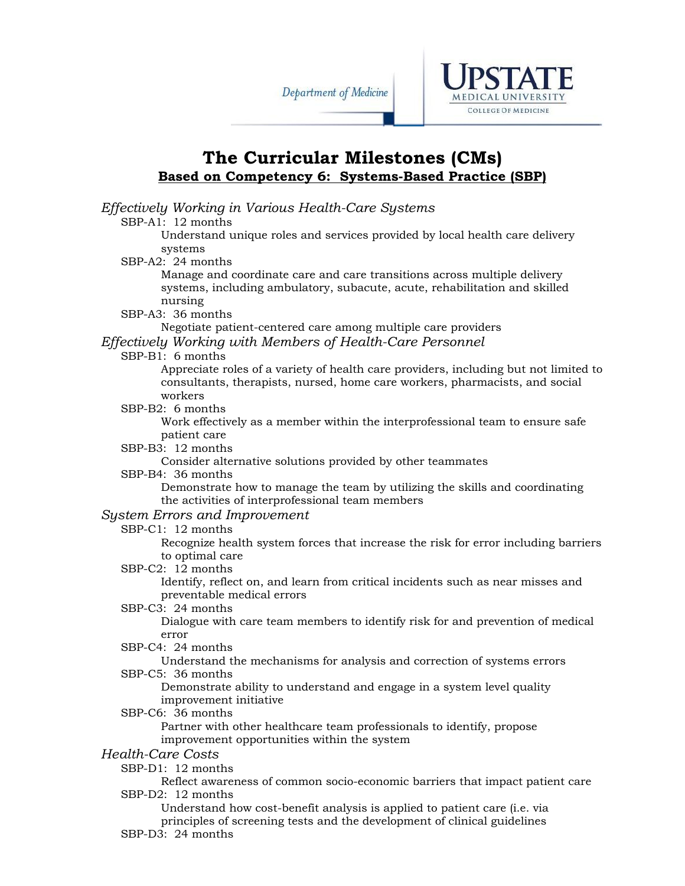

## **The Curricular Milestones (CMs) Based on Competency 6: Systems-Based Practice (SBP)**

*Effectively Working in Various Health-Care Systems*  SBP-A1: 12 months Understand unique roles and services provided by local health care delivery systems SBP-A2: 24 months Manage and coordinate care and care transitions across multiple delivery systems, including ambulatory, subacute, acute, rehabilitation and skilled nursing SBP-A3: 36 months Negotiate patient-centered care among multiple care providers *Effectively Working with Members of Health-Care Personnel*  SBP-B1: 6 months Appreciate roles of a variety of health care providers, including but not limited to consultants, therapists, nursed, home care workers, pharmacists, and social workers SBP-B2: 6 months Work effectively as a member within the interprofessional team to ensure safe patient care SBP-B3: 12 months Consider alternative solutions provided by other teammates SBP-B4: 36 months Demonstrate how to manage the team by utilizing the skills and coordinating the activities of interprofessional team members *System Errors and Improvement*  SBP-C1: 12 months Recognize health system forces that increase the risk for error including barriers to optimal care SBP-C2: 12 months Identify, reflect on, and learn from critical incidents such as near misses and preventable medical errors SBP-C3: 24 months Dialogue with care team members to identify risk for and prevention of medical error SBP-C4: 24 months Understand the mechanisms for analysis and correction of systems errors SBP-C5: 36 months Demonstrate ability to understand and engage in a system level quality improvement initiative SBP-C6: 36 months Partner with other healthcare team professionals to identify, propose improvement opportunities within the system *Health-Care Costs*  SBP-D1: 12 months Reflect awareness of common socio-economic barriers that impact patient care SBP-D2: 12 months Understand how cost-benefit analysis is applied to patient care (i.e. via principles of screening tests and the development of clinical guidelines

SBP-D3: 24 months